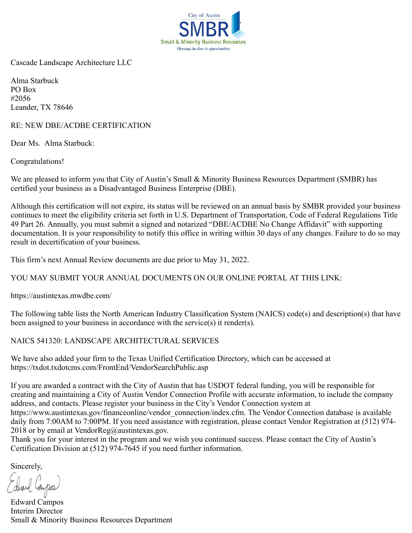

Cascade Landscape Architecture LLC

Alma Starbuck PO Box #2056 Leander, TX 78646

RE: NEW DBE/ACDBE CERTIFICATION

Dear Ms. Alma Starbuck:

Congratulations!

We are pleased to inform you that City of Austin's Small & Minority Business Resources Department (SMBR) has certified your business as a Disadvantaged Business Enterprise (DBE).

Although this certification will not expire, its status will be reviewed on an annual basis by SMBR provided your business continues to meet the eligibility criteria set forth in U.S. Department of Transportation, Code of Federal Regulations Title 49 Part 26. Annually, you must submit a signed and notarized "DBE/ACDBE No Change Affidavit" with supporting documentation. It is your responsibility to notify this office in writing within 30 days of any changes. Failure to do so may result in decertification of your business.

This firm's next Annual Review documents are due prior to May 31, 2022.

YOU MAY SUBMIT YOUR ANNUAL DOCUMENTS ON OUR ONLINE PORTAL AT THIS LINK:

https://austintexas.mwdbe.com/

The following table lists the North American Industry Classification System (NAICS) code(s) and description(s) that have been assigned to your business in accordance with the service(s) it render(s).

NAICS 541320: LANDSCAPE ARCHITECTURAL SERVICES

We have also added your firm to the Texas Unified Certification Directory, which can be accessed at https://txdot.txdotcms.com/FrontEnd/VendorSearchPublic.asp

If you are awarded a contract with the City of Austin that has USDOT federal funding, you will be responsible for creating and maintaining a City of Austin Vendor Connection Profile with accurate information, to include the company address, and contacts. Please register your business in the City's Vendor Connection system at https://www.austintexas.gov/financeonline/vendor\_connection/index.cfm. The Vendor Connection database is available daily from 7:00AM to 7:00PM. If you need assistance with registration, please contact Vendor Registration at (512) 974- 2018 or by email at VendorReg@austintexas.gov.

Thank you for your interest in the program and we wish you continued success. Please contact the City of Austin's Certification Division at (512) 974-7645 if you need further information.

Sincerely,

dired Canpo.

Edward Campos Interim Director Small & Minority Business Resources Department